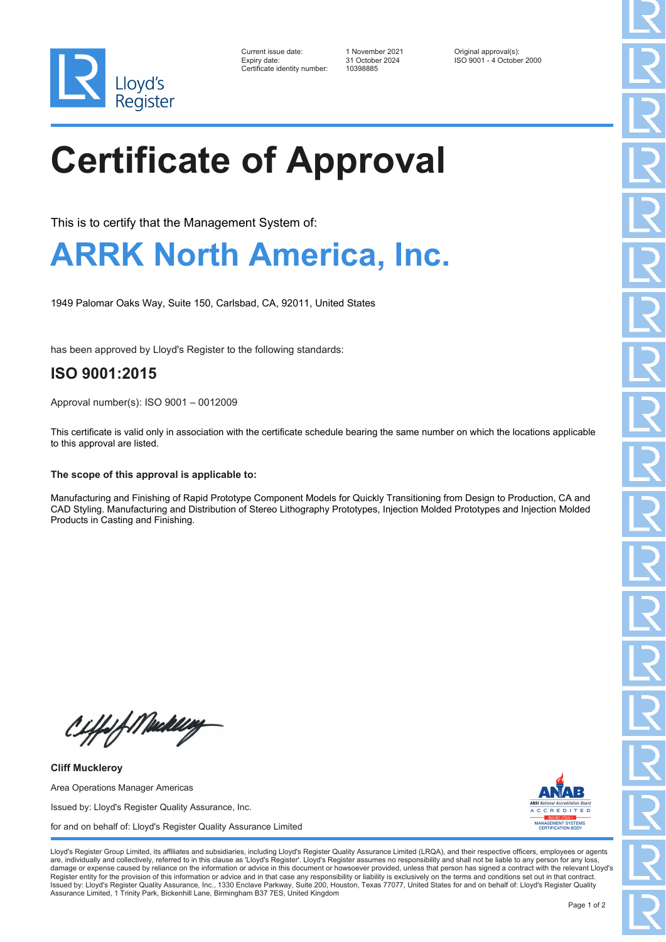

| Current issue date:          | 1 November 2021 | Original approval(s):     |
|------------------------------|-----------------|---------------------------|
| Expiry date:                 | 31 October 2024 | ISO 9001 - 4 October 2000 |
| Certificate identity number: | 10398885        |                           |

# **Certificate of Approval**

This is to certify that the Management System of:

### **ARRK North America, Inc.**

1949 Palomar Oaks Way, Suite 150, Carlsbad, CA, 92011, United States

has been approved by Lloyd's Register to the following standards:

### **ISO 9001:2015**

Approval number(s): ISO 9001 – 0012009

This certificate is valid only in association with the certificate schedule bearing the same number on which the locations applicable to this approval are listed.

#### **The scope of this approval is applicable to:**

Manufacturing and Finishing of Rapid Prototype Component Models for Quickly Transitioning from Design to Production, CA and CAD Styling. Manufacturing and Distribution of Stereo Lithography Prototypes, Injection Molded Prototypes and Injection Molded Products in Casting and Finishing.

Ciffof Meddley

**Cliff Muckleroy** Area Operations Manager Americas Issued by: Lloyd's Register Quality Assurance, Inc. for and on behalf of: Lloyd's Register Quality Assurance Limited



Lloyd's Register Group Limited, its affiliates and subsidiaries, including Lloyd's Register Quality Assurance Limited (LRQA), and their respective officers, employees or agents are, individually and collectively, referred to in this clause as 'Lloyd's Register'. Lloyd's Register assumes no responsibility and shall not be liable to any person for any los damage or expense caused by reliance on the information or advice in this document or howsoever provided, unless that person has signed a contract with the relevant Lloyd's<br>Register entity for the provision of this informa Issued by: Lloyd's Register Quality Assurance, Inc., 1330 Enclave Parkway, Suite 200, Houston, Texas 77077, United States for and on behalf of: Lloyd's Register Quality Assurance Limited, 1 Trinity Park, Bickenhill Lane, Birmingham B37 7ES, United Kingdom